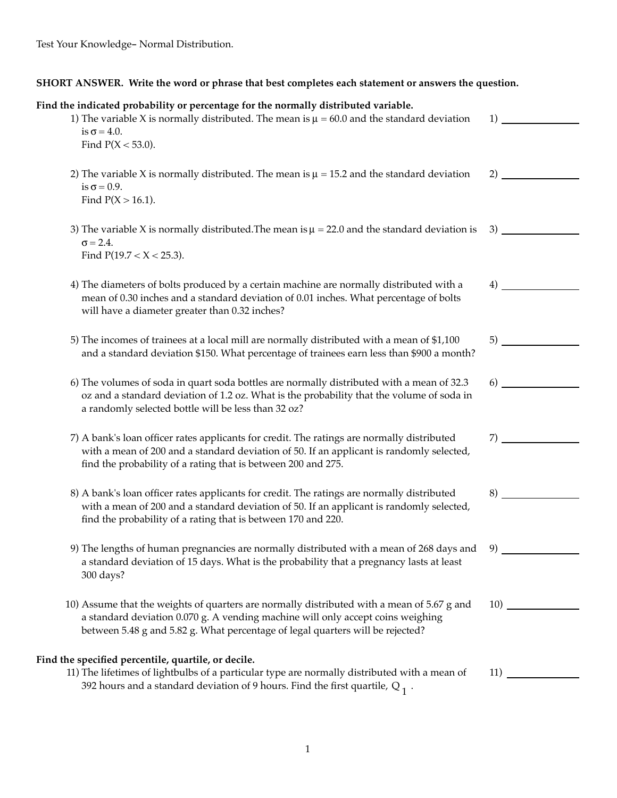| SHORT ANSWER. Write the word or phrase that best completes each statement or answers the question.                                                                                                                                                              |     |  |
|-----------------------------------------------------------------------------------------------------------------------------------------------------------------------------------------------------------------------------------------------------------------|-----|--|
| Find the indicated probability or percentage for the normally distributed variable.<br>1) The variable X is normally distributed. The mean is $\mu = 60.0$ and the standard deviation<br>is $\sigma = 4.0$ .<br>Find $P(X < 53.0)$ .                            | 1)  |  |
| 2) The variable X is normally distributed. The mean is $\mu = 15.2$ and the standard deviation<br>is $\sigma$ = 0.9.<br>Find $P(X > 16.1)$ .                                                                                                                    | 2)  |  |
| 3) The variable X is normally distributed. The mean is $\mu = 22.0$ and the standard deviation is<br>$\sigma = 2.4$ .<br>Find $P(19.7 < X < 25.3)$ .                                                                                                            | 3)  |  |
| 4) The diameters of bolts produced by a certain machine are normally distributed with a<br>mean of 0.30 inches and a standard deviation of 0.01 inches. What percentage of bolts<br>will have a diameter greater than 0.32 inches?                              | 4)  |  |
| 5) The incomes of trainees at a local mill are normally distributed with a mean of \$1,100<br>and a standard deviation \$150. What percentage of trainees earn less than \$900 a month?                                                                         | 5)  |  |
| 6) The volumes of soda in quart soda bottles are normally distributed with a mean of 32.3<br>oz and a standard deviation of 1.2 oz. What is the probability that the volume of soda in<br>a randomly selected bottle will be less than 32 oz?                   | 6)  |  |
| 7) A bank's loan officer rates applicants for credit. The ratings are normally distributed<br>with a mean of 200 and a standard deviation of 50. If an applicant is randomly selected,<br>find the probability of a rating that is between 200 and 275.         | 7)  |  |
| 8) A bank's loan officer rates applicants for credit. The ratings are normally distributed<br>with a mean of 200 and a standard deviation of 50. If an applicant is randomly selected,<br>find the probability of a rating that is between 170 and 220.         | 8)  |  |
| 9) The lengths of human pregnancies are normally distributed with a mean of 268 days and<br>a standard deviation of 15 days. What is the probability that a pregnancy lasts at least<br>300 days?                                                               | 9)  |  |
| 10) Assume that the weights of quarters are normally distributed with a mean of 5.67 g and<br>a standard deviation 0.070 g. A vending machine will only accept coins weighing<br>between 5.48 g and 5.82 g. What percentage of legal quarters will be rejected? | 10) |  |
| Find the specified percentile, quartile, or decile.<br>11) The lifetimes of lightbulbs of a particular type are normally distributed with a mean of<br>392 hours and a standard deviation of 9 hours. Find the first quartile, $Q_1$ .                          | 11) |  |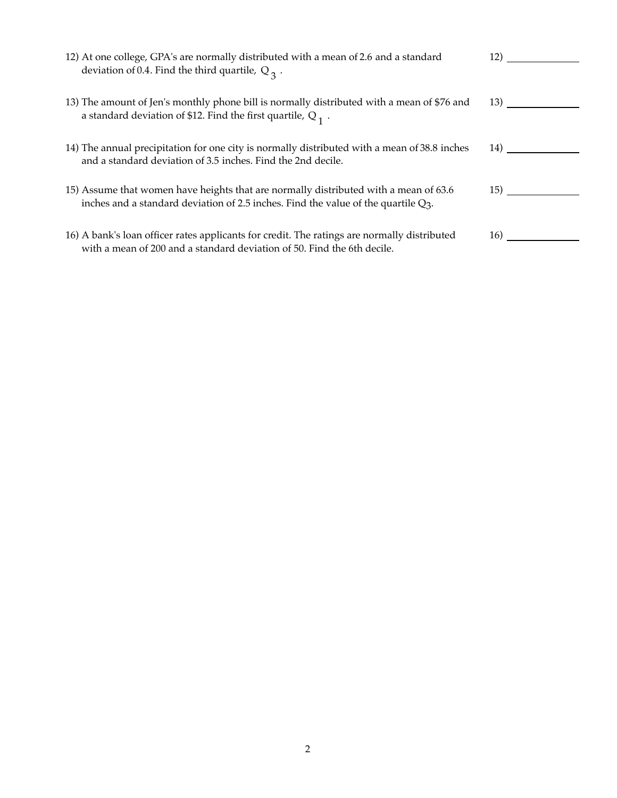| 12) At one college, GPA's are normally distributed with a mean of 2.6 and a standard<br>deviation of 0.4. Find the third quartile, $Q_3$ .                                    | 12)  |
|-------------------------------------------------------------------------------------------------------------------------------------------------------------------------------|------|
|                                                                                                                                                                               |      |
| 13) The amount of Jen's monthly phone bill is normally distributed with a mean of \$76 and<br>a standard deviation of \$12. Find the first quartile, $Q_1$ .                  |      |
|                                                                                                                                                                               | 13)  |
|                                                                                                                                                                               |      |
| 14) The annual precipitation for one city is normally distributed with a mean of 38.8 inches<br>and a standard deviation of 3.5 inches. Find the 2nd decile.                  | 14)  |
|                                                                                                                                                                               |      |
|                                                                                                                                                                               |      |
| 15) Assume that women have heights that are normally distributed with a mean of 63.6<br>inches and a standard deviation of 2.5 inches. Find the value of the quartile $Q_3$ . | (15) |
|                                                                                                                                                                               |      |
| 16) A bank's loan officer rates applicants for credit. The ratings are normally distributed<br>with a mean of 200 and a standard deviation of 50. Find the 6th decile.        | 16)  |
|                                                                                                                                                                               |      |